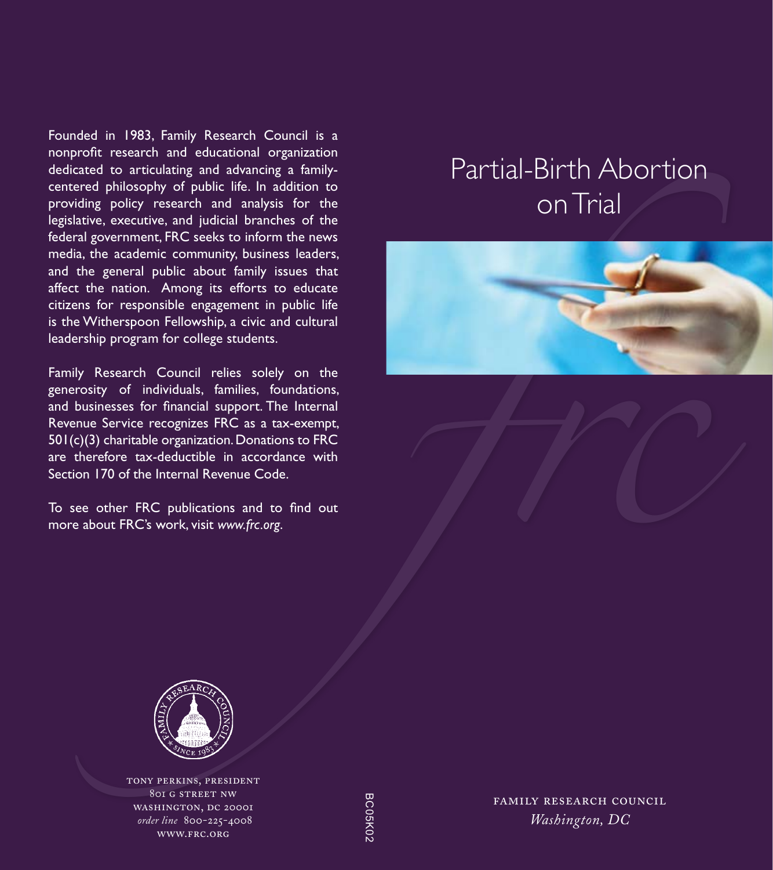Founded in 1983, Family Research Council is a nonprofit research and educational organization dedicated to articulating and advancing a familycentered philosophy of public life. In addition to providing policy research and analysis for the legislative, executive, and judicial branches of the federal government, FRC seeks to inform the news media, the academic community, business leaders, and the general public about family issues that affect the nation. Among its efforts to educate citizens for responsible engagement in public life is the Witherspoon Fellowship, a civic and cultural leadership program for college students.

Family Research Council relies solely on the generosity of individuals, families, foundations, and businesses for financial support. The Internal Revenue Service recognizes FRC as a tax-exempt, 501(c)(3) charitable organization. Donations to FRC are therefore tax-deductible in accordance with Section 170 of the Internal Revenue Code. more about FRC's and allowing the matterial conduction of the therefore tax-deductible in accordance with<br>Section 170 of the Internal Revenue Code.<br>To see other FRC publications and to find out<br>more about FRC's work, visit

To see other FRC publications and to find out

## Partial-Birth Abortion on Trial





TONY PERKINS, PRESIDENT **801 G STREET NW** WASHINGTON, DC 2000I *order line* 800-225-4008 www.FRC.ORG

BC05K02 BC05K02

FAMILY RESEARCH COUNCIL *Washington, DC*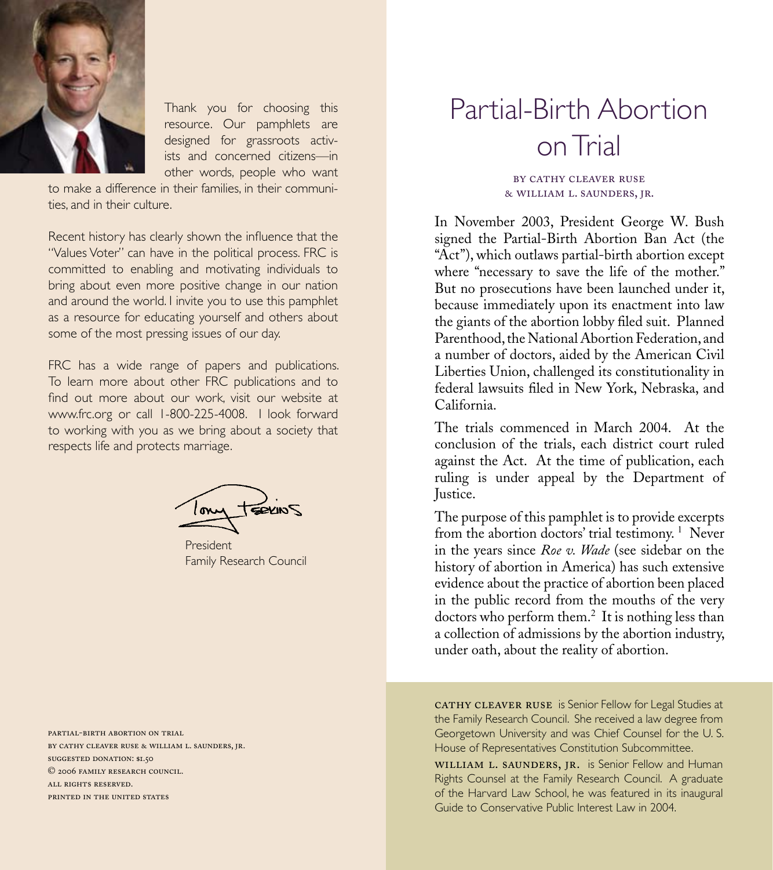

Thank you for choosing this resource. Our pamphlets are designed for grassroots activists and concerned citizens—in other words, people who want

to make a difference in their families, in their communities, and in their culture.

Recent history has clearly shown the influence that the "Values Voter" can have in the political process. FRC is committed to enabling and motivating individuals to bring about even more positive change in our nation and around the world. I invite you to use this pamphlet as a resource for educating yourself and others about some of the most pressing issues of our day.

FRC has a wide range of papers and publications. To learn more about other FRC publications and to find out more about our work, visit our website at www.frc.org or call 1-800-225-4008. I look forward to working with you as we bring about a society that respects life and protects marriage.

President Family Research Council

PARTIAL-BIRTH ABORTION ON TRIAL BY CATHY CLEAVER RUSE & WILLIAM L. SAUNDERS, JR. SUGGESTED DONATION: \$1.50 © 2006 FAMILY RESEARCH COUNCIL. ALL RIGHTS RESERVED. PRINTED IN THE UNITED STATES

# Partial-Birth Abortion on Trial

by cathy cleaver ruse & william l. saunders, jr.

In November 2003, President George W. Bush signed the Partial-Birth Abortion Ban Act (the "Act"), which outlaws partial-birth abortion except where "necessary to save the life of the mother." But no prosecutions have been launched under it, because immediately upon its enactment into law the giants of the abortion lobby filed suit. Planned Parenthood, the National Abortion Federation, and a number of doctors, aided by the American Civil Liberties Union, challenged its constitutionality in federal lawsuits filed in New York, Nebraska, and California.

The trials commenced in March 2004. At the conclusion of the trials, each district court ruled against the Act. At the time of publication, each ruling is under appeal by the Department of Justice.

The purpose of this pamphlet is to provide excerpts from the abortion doctors' trial testimony.<sup>1</sup> Never in the years since *Roe v. Wade* (see sidebar on the history of abortion in America) has such extensive evidence about the practice of abortion been placed in the public record from the mouths of the very doctors who perform them.<sup>2</sup> It is nothing less than a collection of admissions by the abortion industry, under oath, about the reality of abortion.

CATHY CLEAVER RUSE is Senior Fellow for Legal Studies at the Family Research Council. She received a law degree from Georgetown University and was Chief Counsel for the U. S. House of Representatives Constitution Subcommittee.

WILLIAM L. SAUNDERS, JR. is Senior Fellow and Human Rights Counsel at the Family Research Council. A graduate of the Harvard Law School, he was featured in its inaugural Guide to Conservative Public Interest Law in 2004.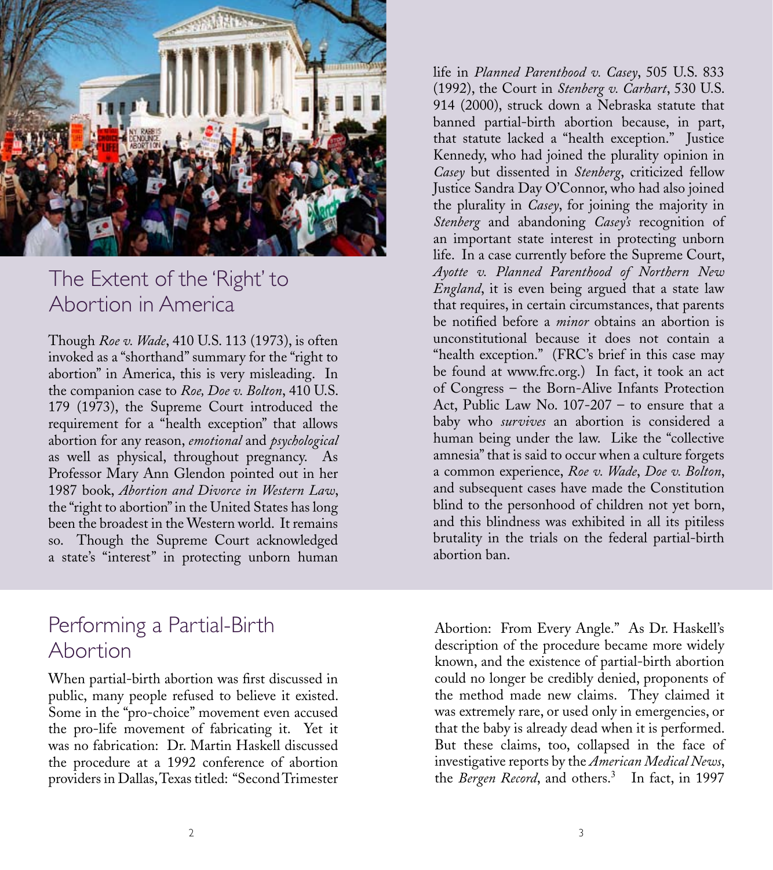

## The Extent of the 'Right' to Abortion in America

Though *Roe v. Wade*, 410 U.S. 113 (1973), is often invoked as a "shorthand" summary for the "right to abortion" in America, this is very misleading. In the companion case to *Roe, Doe v. Bolton*, 410 U.S. 179 (1973), the Supreme Court introduced the requirement for a "health exception" that allows abortion for any reason, *emotional* and *psychological* as well as physical, throughout pregnancy. As Professor Mary Ann Glendon pointed out in her 1987 book, *Abortion and Divorce in Western Law*, the "right to abortion" in the United States has long been the broadest in the Western world. It remains so. Though the Supreme Court acknowledged a state's "interest" in protecting unborn human

#### "health exception." (FRC's brief in this case may be found at www.frc.org.) In fact, it took an act of Congress – the Born-Alive Infants Protection Act, Public Law No. 107-207 – to ensure that a baby who *survives* an abortion is considered a human being under the law. Like the "collective amnesia" that is said to occur when a culture forgets a common experience, *Roe v. Wade*, *Doe v. Bolton*, and subsequent cases have made the Constitution blind to the personhood of children not yet born, and this blindness was exhibited in all its pitiless brutality in the trials on the federal partial-birth abortion ban.

## Performing a Partial-Birth Abortion

When partial-birth abortion was first discussed in public, many people refused to believe it existed. Some in the "pro-choice" movement even accused the pro-life movement of fabricating it. Yet it was no fabrication: Dr. Martin Haskell discussed the procedure at a 1992 conference of abortion providers in Dallas, Texas titled: "Second Trimester Abortion: From Every Angle." As Dr. Haskell's description of the procedure became more widely known, and the existence of partial-birth abortion could no longer be credibly denied, proponents of the method made new claims. They claimed it was extremely rare, or used only in emergencies, or that the baby is already dead when it is performed. But these claims, too, collapsed in the face of investigative reports by the *American Medical News*, the *Bergen Record*, and others.<sup>3</sup> In fact, in 1997

life in *Planned Parenthood v. Casey*, 505 U.S. 833 (1992), the Court in *Stenberg v. Carhart*, 530 U.S. 914 (2000), struck down a Nebraska statute that banned partial-birth abortion because, in part, that statute lacked a "health exception." Justice Kennedy, who had joined the plurality opinion in *Casey* but dissented in *Stenberg*, criticized fellow Justice Sandra Day O'Connor, who had also joined the plurality in *Casey*, for joining the majority in *Stenberg* and abandoning *Casey's* recognition of an important state interest in protecting unborn life. In a case currently before the Supreme Court, *Ayotte v. Planned Parenthood of Northern New England*, it is even being argued that a state law that requires, in certain circumstances, that parents be notified before a *minor* obtains an abortion is unconstitutional because it does not contain a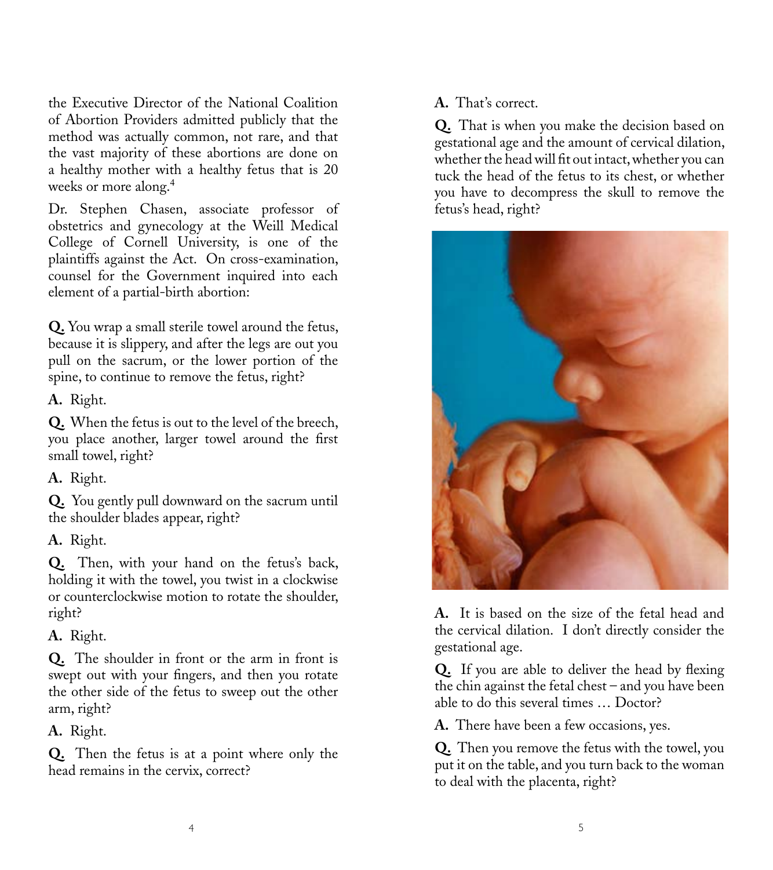the Executive Director of the National Coalition of Abortion Providers admitted publicly that the method was actually common, not rare, and that the vast majority of these abortions are done on a healthy mother with a healthy fetus that is 20 weeks or more along.<sup>4</sup>

Dr. Stephen Chasen, associate professor of obstetrics and gynecology at the Weill Medical College of Cornell University, is one of the plaintiffs against the Act. On cross-examination, counsel for the Government inquired into each element of a partial-birth abortion:

**Q.** You wrap a small sterile towel around the fetus, because it is slippery, and after the legs are out you pull on the sacrum, or the lower portion of the spine, to continue to remove the fetus, right?

**A.** Right.

**Q.** When the fetus is out to the level of the breech, you place another, larger towel around the first small towel, right?

**A.** Right.

**Q.** You gently pull downward on the sacrum until the shoulder blades appear, right?

**A.** Right.

**Q.** Then, with your hand on the fetus's back, holding it with the towel, you twist in a clockwise or counterclockwise motion to rotate the shoulder, right?

**A.** Right.

**Q.** The shoulder in front or the arm in front is swept out with your fingers, and then you rotate the other side of the fetus to sweep out the other arm, right?

**A.** Right.

**Q.** Then the fetus is at a point where only the head remains in the cervix, correct?

**A.** That's correct.

**Q.** That is when you make the decision based on gestational age and the amount of cervical dilation, whether the head will fit out intact, whether you can tuck the head of the fetus to its chest, or whether you have to decompress the skull to remove the fetus's head, right?



**A.** It is based on the size of the fetal head and the cervical dilation. I don't directly consider the gestational age.

**Q.** If you are able to deliver the head by flexing the chin against the fetal chest – and you have been able to do this several times … Doctor?

**A.** There have been a few occasions, yes.

**Q.** Then you remove the fetus with the towel, you put it on the table, and you turn back to the woman to deal with the placenta, right?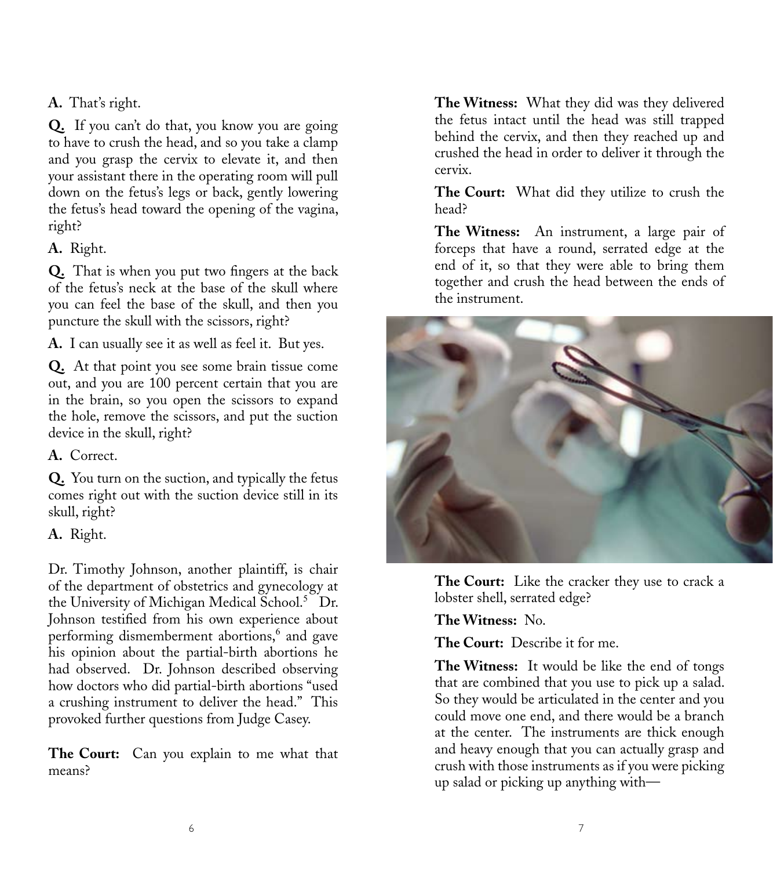**A.** That's right.

**Q.** If you can't do that, you know you are going to have to crush the head, and so you take a clamp and you grasp the cervix to elevate it, and then your assistant there in the operating room will pull down on the fetus's legs or back, gently lowering the fetus's head toward the opening of the vagina, right?

**A.** Right.

**Q.** That is when you put two fingers at the back of the fetus's neck at the base of the skull where you can feel the base of the skull, and then you puncture the skull with the scissors, right?

**A.** I can usually see it as well as feel it. But yes.

**Q.** At that point you see some brain tissue come out, and you are 100 percent certain that you are in the brain, so you open the scissors to expand the hole, remove the scissors, and put the suction device in the skull, right?

**A.** Correct.

**Q.** You turn on the suction, and typically the fetus comes right out with the suction device still in its skull, right?

**A.** Right.

Dr. Timothy Johnson, another plaintiff, is chair of the department of obstetrics and gynecology at the University of Michigan Medical School.<sup>5</sup> Dr. Johnson testified from his own experience about performing dismemberment abortions,<sup>6</sup> and gave his opinion about the partial-birth abortions he had observed. Dr. Johnson described observing how doctors who did partial-birth abortions "used a crushing instrument to deliver the head." This provoked further questions from Judge Casey.

**The Court:** Can you explain to me what that means?

**The Witness:** What they did was they delivered the fetus intact until the head was still trapped behind the cervix, and then they reached up and crushed the head in order to deliver it through the cervix.

**The Court:** What did they utilize to crush the head?

**The Witness:** An instrument, a large pair of forceps that have a round, serrated edge at the end of it, so that they were able to bring them together and crush the head between the ends of the instrument.



**The Court:** Like the cracker they use to crack a lobster shell, serrated edge?

**The Witness:** No.

**The Court:** Describe it for me.

**The Witness:** It would be like the end of tongs that are combined that you use to pick up a salad. So they would be articulated in the center and you could move one end, and there would be a branch at the center. The instruments are thick enough and heavy enough that you can actually grasp and crush with those instruments as if you were picking up salad or picking up anything with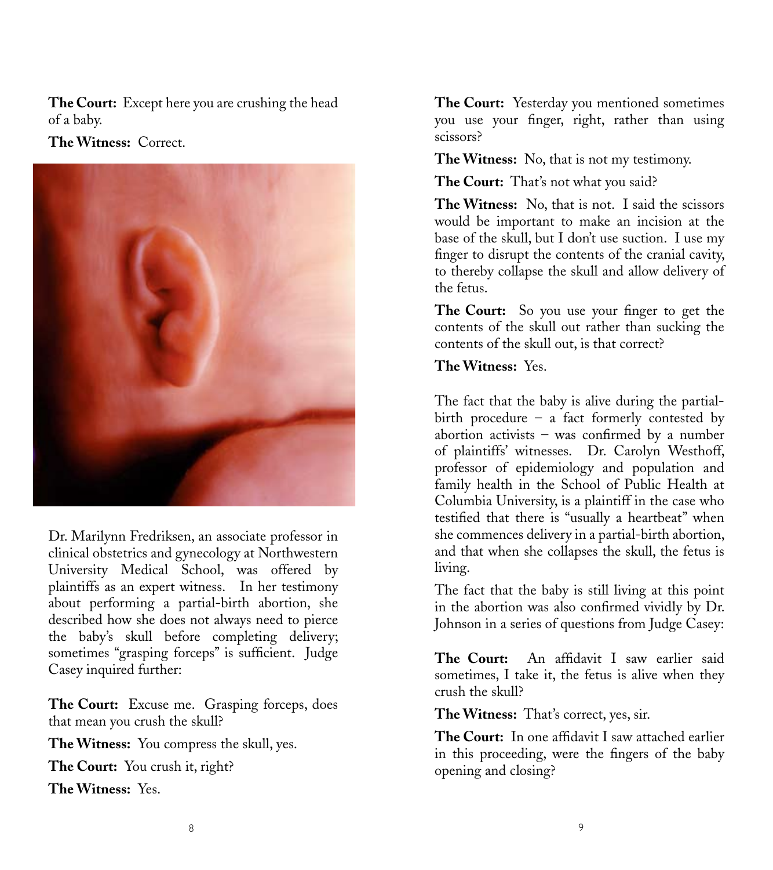**The Court:** Except here you are crushing the head of a baby.

**The Witness:** Correct.



Dr. Marilynn Fredriksen, an associate professor in clinical obstetrics and gynecology at Northwestern University Medical School, was offered by plaintiffs as an expert witness. In her testimony about performing a partial-birth abortion, she described how she does not always need to pierce the baby's skull before completing delivery; sometimes "grasping forceps" is sufficient. Judge Casey inquired further:

**The Court:** Excuse me. Grasping forceps, does that mean you crush the skull?

**The Witness:** You compress the skull, yes.

**The Court:** You crush it, right?

**The Witness:** Yes.

**The Court:** Yesterday you mentioned sometimes you use your finger, right, rather than using scissors?

**The Witness:** No, that is not my testimony.

**The Court:** That's not what you said?

**The Witness:** No, that is not. I said the scissors would be important to make an incision at the base of the skull, but I don't use suction. I use my finger to disrupt the contents of the cranial cavity, to thereby collapse the skull and allow delivery of the fetus.

**The Court:** So you use your finger to get the contents of the skull out rather than sucking the contents of the skull out, is that correct?

**The Witness:** Yes.

The fact that the baby is alive during the partialbirth procedure – a fact formerly contested by abortion activists – was confirmed by a number of plaintiffs' witnesses. Dr. Carolyn Westhoff, professor of epidemiology and population and family health in the School of Public Health at Columbia University, is a plaintiff in the case who testified that there is "usually a heartbeat" when she commences delivery in a partial-birth abortion, and that when she collapses the skull, the fetus is living.

The fact that the baby is still living at this point in the abortion was also confirmed vividly by Dr. Johnson in a series of questions from Judge Casey:

**The Court:** An affidavit I saw earlier said sometimes, I take it, the fetus is alive when they crush the skull?

**The Witness:** That's correct, yes, sir.

**The Court:** In one affidavit I saw attached earlier in this proceeding, were the fingers of the baby opening and closing?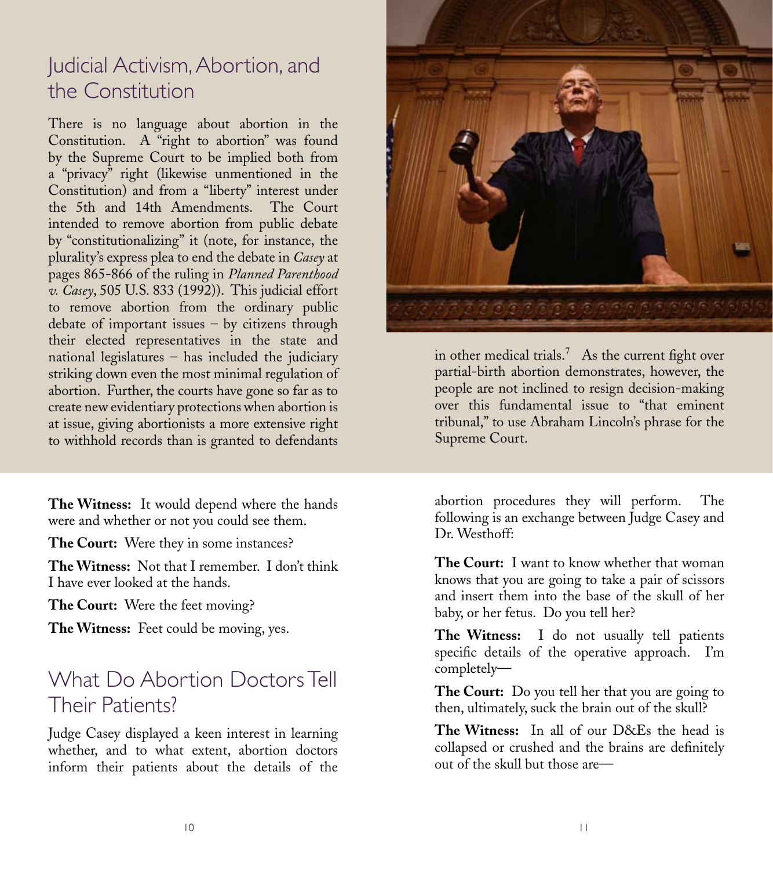#### Judicial Activism, Abortion, and the Constitution

There is no language about abortion in the Constitution. A "right to abortion" was found by the Supreme Court to be implied both from a "privacy" right (likewise unmentioned in the Constitution) and from a "liberty" interest under the 5th and 14th Amendments. The Court intended to remove abortion from public debate by "constitutionalizing" it (note, for instance, the plurality's express plea to end the debate in *Casey* at pages 865-866 of the ruling in *Planned Parenthood v. Casey*, 505 U.S. 833 (1992)). This judicial effort to remove abortion from the ordinary public debate of important issues – by citizens through their elected representatives in the state and national legislatures – has included the judiciary striking down even the most minimal regulation of abortion. Further, the courts have gone so far as to create new evidentiary protections when abortion is at issue, giving abortionists a more extensive right to withhold records than is granted to defendants

**The Witness:** It would depend where the hands were and whether or not you could see them.

**The Court:** Were they in some instances?

**The Witness:** Not that I remember. I don't think I have ever looked at the hands.

**The Court:** Were the feet moving?

**The Witness:** Feet could be moving, yes.

## What Do Abortion Doctors Tell Their Patients?

Judge Casey displayed a keen interest in learning whether, and to what extent, abortion doctors inform their patients about the details of the



in other medical trials.<sup>7</sup> As the current fight over partial-birth abortion demonstrates, however, the people are not inclined to resign decision-making over this fundamental issue to "that eminent tribunal," to use Abraham Lincoln's phrase for the Supreme Court.

abortion procedures they will perform. The following is an exchange between Judge Casey and Dr. Westhoff:

**The Court:** I want to know whether that woman knows that you are going to take a pair of scissors and insert them into the base of the skull of her baby, or her fetus. Do you tell her?

**The Witness:** I do not usually tell patients specific details of the operative approach. I'm completely—

**The Court:** Do you tell her that you are going to then, ultimately, suck the brain out of the skull?

**The Witness:** In all of our D&Es the head is collapsed or crushed and the brains are definitely out of the skull but those are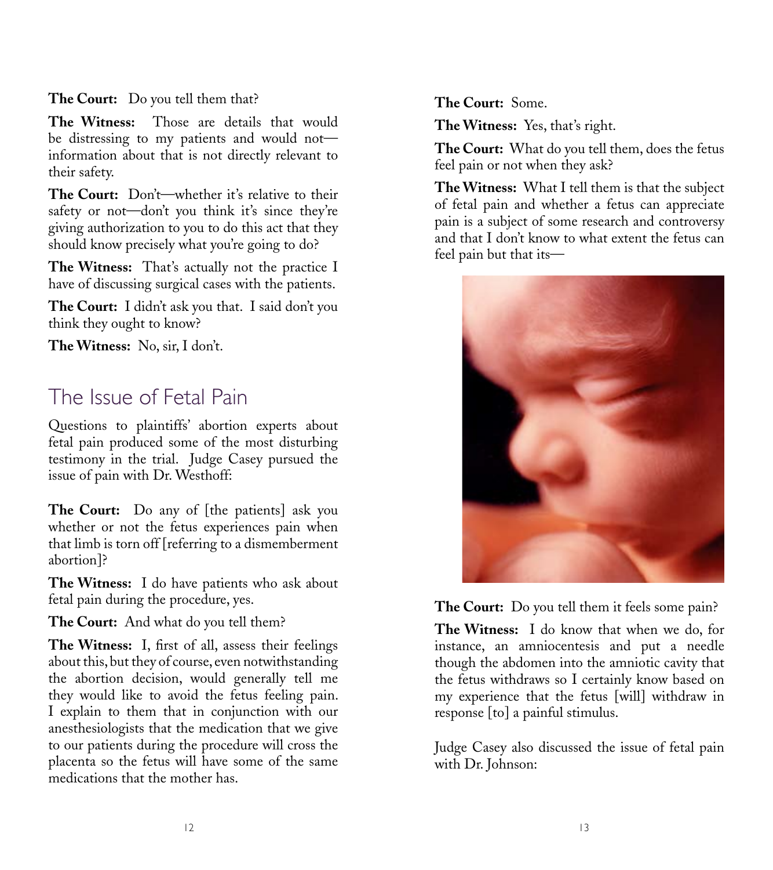**The Court:** Do you tell them that?

**The Witness:** Those are details that would be distressing to my patients and would not information about that is not directly relevant to their safety.

**The Court:** Don't—whether it's relative to their safety or not—don't you think it's since they're giving authorization to you to do this act that they should know precisely what you're going to do?

**The Witness:** That's actually not the practice I have of discussing surgical cases with the patients.

**The Court:** I didn't ask you that. I said don't you think they ought to know?

**The Witness:** No, sir, I don't.

#### The Issue of Fetal Pain

Questions to plaintiffs' abortion experts about fetal pain produced some of the most disturbing testimony in the trial. Judge Casey pursued the issue of pain with Dr. Westhoff:

**The Court:** Do any of [the patients] ask you whether or not the fetus experiences pain when that limb is torn off [referring to a dismemberment abortion]?

**The Witness:** I do have patients who ask about fetal pain during the procedure, yes.

**The Court:** And what do you tell them?

**The Witness:** I, first of all, assess their feelings about this, but they of course, even notwithstanding the abortion decision, would generally tell me they would like to avoid the fetus feeling pain. I explain to them that in conjunction with our anesthesiologists that the medication that we give to our patients during the procedure will cross the placenta so the fetus will have some of the same medications that the mother has.

**The Court:** Some.

**The Witness:** Yes, that's right.

**The Court:** What do you tell them, does the fetus feel pain or not when they ask?

**The Witness:** What I tell them is that the subject of fetal pain and whether a fetus can appreciate pain is a subject of some research and controversy and that I don't know to what extent the fetus can feel pain but that its—



**The Court:** Do you tell them it feels some pain?

**The Witness:** I do know that when we do, for instance, an amniocentesis and put a needle though the abdomen into the amniotic cavity that the fetus withdraws so I certainly know based on my experience that the fetus [will] withdraw in response [to] a painful stimulus.

Judge Casey also discussed the issue of fetal pain with Dr. Johnson: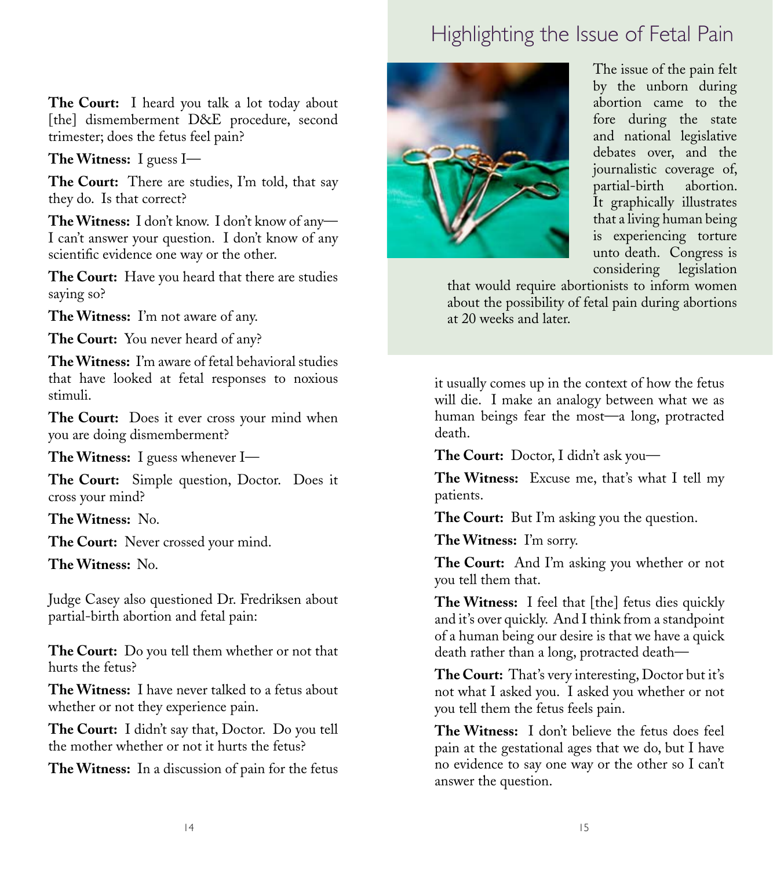#### Highlighting the Issue of Fetal Pain

**The Court:** I heard you talk a lot today about [the] dismemberment D&E procedure, second trimester; does the fetus feel pain?

**The Witness:** I guess I—

**The Court:** There are studies, I'm told, that say they do. Is that correct?

**The Witness:** I don't know. I don't know of any— I can't answer your question. I don't know of any scientific evidence one way or the other.

**The Court:** Have you heard that there are studies saying so?

**The Witness:** I'm not aware of any.

**The Court:** You never heard of any?

**The Witness:** I'm aware of fetal behavioral studies that have looked at fetal responses to noxious stimuli.

**The Court:** Does it ever cross your mind when you are doing dismemberment?

**The Witness:** I guess whenever I—

**The Court:** Simple question, Doctor. Does it cross your mind?

**The Witness:** No.

**The Court:** Never crossed your mind.

**The Witness:** No.

Judge Casey also questioned Dr. Fredriksen about partial-birth abortion and fetal pain:

**The Court:** Do you tell them whether or not that hurts the fetus?

**The Witness:** I have never talked to a fetus about whether or not they experience pain.

**The Court:** I didn't say that, Doctor. Do you tell the mother whether or not it hurts the fetus?

**The Witness:** In a discussion of pain for the fetus



The issue of the pain felt by the unborn during abortion came to the fore during the state and national legislative debates over, and the journalistic coverage of, partial-birth abortion. It graphically illustrates that a living human being is experiencing torture unto death. Congress is considering legislation

that would require abortionists to inform women about the possibility of fetal pain during abortions at 20 weeks and later.

it usually comes up in the context of how the fetus will die. I make an analogy between what we as human beings fear the most—a long, protracted death.

**The Court:** Doctor, I didn't ask you—

**The Witness:** Excuse me, that's what I tell my patients.

**The Court:** But I'm asking you the question.

**The Witness:** I'm sorry.

**The Court:** And I'm asking you whether or not you tell them that.

**The Witness:** I feel that [the] fetus dies quickly and it's over quickly. And I think from a standpoint of a human being our desire is that we have a quick death rather than a long, protracted death—

**The Court:** That's very interesting, Doctor but it's not what I asked you. I asked you whether or not you tell them the fetus feels pain.

**The Witness:** I don't believe the fetus does feel pain at the gestational ages that we do, but I have no evidence to say one way or the other so I can't answer the question.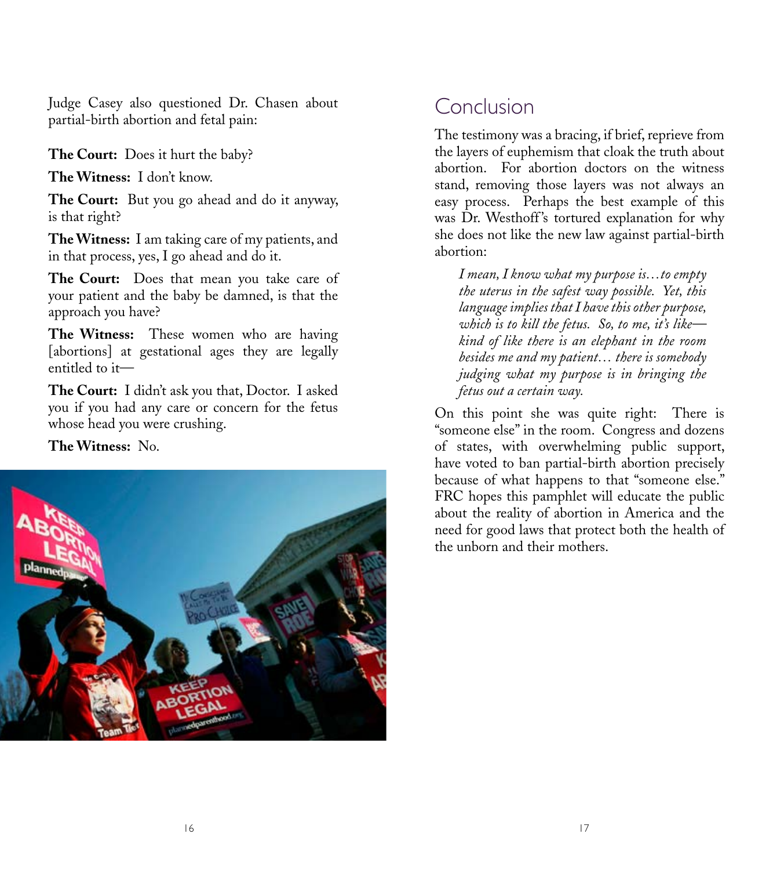Judge Casey also questioned Dr. Chasen about partial-birth abortion and fetal pain:

**The Court:** Does it hurt the baby?

**The Witness:** I don't know.

**The Court:** But you go ahead and do it anyway, is that right?

**The Witness:** I am taking care of my patients, and in that process, yes, I go ahead and do it.

**The Court:** Does that mean you take care of your patient and the baby be damned, is that the approach you have?

**The Witness:** These women who are having [abortions] at gestational ages they are legally entitled to it—

**The Court:** I didn't ask you that, Doctor. I asked you if you had any care or concern for the fetus whose head you were crushing.

**The Witness:** No.



#### Conclusion

The testimony was a bracing, if brief, reprieve from the layers of euphemism that cloak the truth about abortion. For abortion doctors on the witness stand, removing those layers was not always an easy process. Perhaps the best example of this was Dr. Westhoff 's tortured explanation for why she does not like the new law against partial-birth abortion:

*I mean, I know what my purpose is…to empty the uterus in the safest way possible. Yet, this language implies that I have this other purpose, which is to kill the fetus. So, to me, it's like kind of like there is an elephant in the room besides me and my patient… there is somebody judging what my purpose is in bringing the fetus out a certain way.*

On this point she was quite right: There is "someone else" in the room. Congress and dozens of states, with overwhelming public support, have voted to ban partial-birth abortion precisely because of what happens to that "someone else." FRC hopes this pamphlet will educate the public about the reality of abortion in America and the need for good laws that protect both the health of the unborn and their mothers.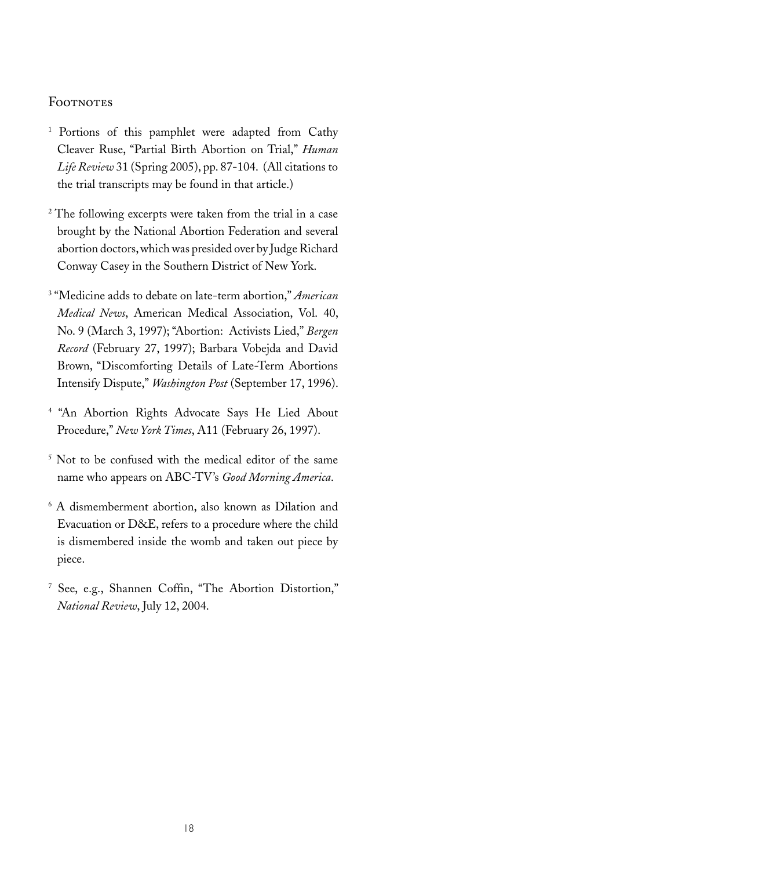#### FOOTNOTES

- <sup>1</sup> Portions of this pamphlet were adapted from Cathy Cleaver Ruse, "Partial Birth Abortion on Trial," *Human Life Review* 31 (Spring 2005), pp. 87-104. (All citations to the trial transcripts may be found in that article.)
- <sup>2</sup> The following excerpts were taken from the trial in a case brought by the National Abortion Federation and several abortion doctors, which was presided over by Judge Richard Conway Casey in the Southern District of New York.
- 3 "Medicine adds to debate on late-term abortion," *American Medical News*, American Medical Association, Vol. 40, No. 9 (March 3, 1997); "Abortion: Activists Lied," *Bergen Record* (February 27, 1997); Barbara Vobejda and David Brown, "Discomforting Details of Late-Term Abortions Intensify Dispute," *Washington Post* (September 17, 1996).
- 4 "An Abortion Rights Advocate Says He Lied About Procedure," *New York Times*, A11 (February 26, 1997).
- 5 Not to be confused with the medical editor of the same name who appears on ABC-TV's *Good Morning America*.
- 6 A dismemberment abortion, also known as Dilation and Evacuation or D&E, refers to a procedure where the child is dismembered inside the womb and taken out piece by piece.
- 7 See, e.g., Shannen Coffin, "The Abortion Distortion," *National Review*, July 12, 2004.